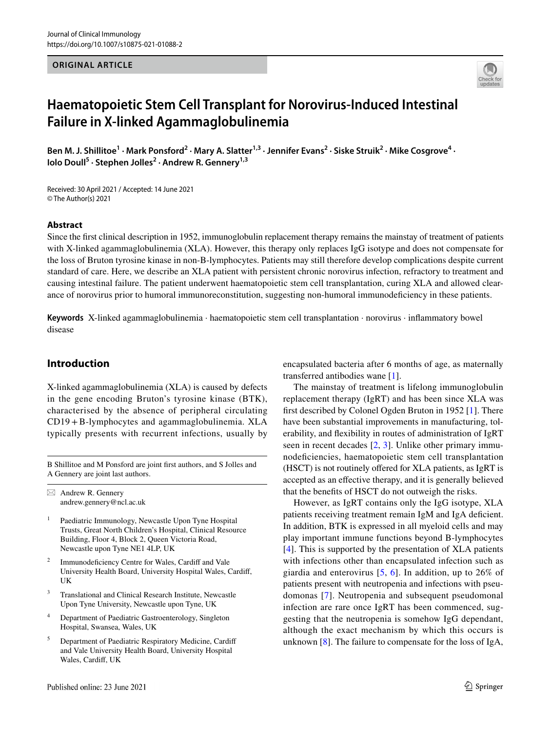#### **ORIGINAL ARTICLE**



# **Haematopoietic Stem Cell Transplant for Norovirus‑Induced Intestinal Failure in X‑linked Agammaglobulinemia**

Ben M. J. Shillitoe<sup>1</sup> · Mark Ponsford<sup>2</sup> · Mary A. Slatter<sup>1,3</sup> · Jennifer Evans<sup>2</sup> · Siske Struik<sup>2</sup> · Mike Cosgrove<sup>4</sup> · **Iolo Doull<sup>5</sup> · Stephen Jolles2 · Andrew R. Gennery1,3**

Received: 30 April 2021 / Accepted: 14 June 2021 © The Author(s) 2021

#### **Abstract**

Since the frst clinical description in 1952, immunoglobulin replacement therapy remains the mainstay of treatment of patients with X-linked agammaglobulinemia (XLA). However, this therapy only replaces IgG isotype and does not compensate for the loss of Bruton tyrosine kinase in non-B-lymphocytes. Patients may still therefore develop complications despite current standard of care. Here, we describe an XLA patient with persistent chronic norovirus infection, refractory to treatment and causing intestinal failure. The patient underwent haematopoietic stem cell transplantation, curing XLA and allowed clearance of norovirus prior to humoral immunoreconstitution, suggesting non-humoral immunodefciency in these patients.

**Keywords** X-linked agammaglobulinemia · haematopoietic stem cell transplantation · norovirus · infammatory bowel disease

## **Introduction**

X-linked agammaglobulinemia (XLA) is caused by defects in the gene encoding Bruton's tyrosine kinase (BTK), characterised by the absence of peripheral circulating CD19+B-lymphocytes and agammaglobulinemia. XLA typically presents with recurrent infections, usually by

B Shillitoe and M Ponsford are joint frst authors, and S Jolles and A Gennery are joint last authors.

 $\boxtimes$  Andrew R. Gennery andrew.gennery@ncl.ac.uk

- <sup>1</sup> Paediatric Immunology, Newcastle Upon Tyne Hospital Trusts, Great North Children's Hospital, Clinical Resource Building, Floor 4, Block 2, Queen Victoria Road, Newcastle upon Tyne NE1 4LP, UK
- Immunodeficiency Centre for Wales, Cardiff and Vale University Health Board, University Hospital Wales, Cardif, UK
- <sup>3</sup> Translational and Clinical Research Institute, Newcastle Upon Tyne University, Newcastle upon Tyne, UK
- <sup>4</sup> Department of Paediatric Gastroenterology, Singleton Hospital, Swansea, Wales, UK
- <sup>5</sup> Department of Paediatric Respiratory Medicine, Cardif and Vale University Health Board, University Hospital Wales, Cardif, UK

encapsulated bacteria after 6 months of age, as maternally transferred antibodies wane [\[1](#page-6-0)].

The mainstay of treatment is lifelong immunoglobulin replacement therapy (IgRT) and has been since XLA was frst described by Colonel Ogden Bruton in 1952 [[1\]](#page-6-0). There have been substantial improvements in manufacturing, tolerability, and fexibility in routes of administration of IgRT seen in recent decades [[2,](#page-6-1) [3](#page-6-2)]. Unlike other primary immunodefciencies, haematopoietic stem cell transplantation (HSCT) is not routinely offered for XLA patients, as IgRT is accepted as an efective therapy, and it is generally believed that the benefts of HSCT do not outweigh the risks.

However, as IgRT contains only the IgG isotype, XLA patients receiving treatment remain IgM and IgA deficient. In addition, BTK is expressed in all myeloid cells and may play important immune functions beyond B-lymphocytes [[4\]](#page-6-3). This is supported by the presentation of XLA patients with infections other than encapsulated infection such as giardia and enterovirus [[5](#page-6-4), [6](#page-6-5)]. In addition, up to 26% of patients present with neutropenia and infections with pseudomonas [[7\]](#page-6-6). Neutropenia and subsequent pseudomonal infection are rare once IgRT has been commenced, suggesting that the neutropenia is somehow IgG dependant, although the exact mechanism by which this occurs is unknown [\[8](#page-6-7)]. The failure to compensate for the loss of IgA,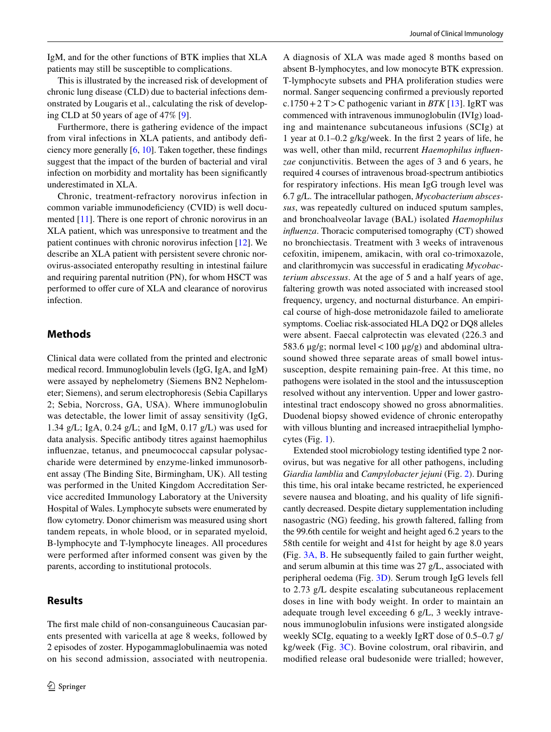IgM, and for the other functions of BTK implies that XLA patients may still be susceptible to complications.

This is illustrated by the increased risk of development of chronic lung disease (CLD) due to bacterial infections demonstrated by Lougaris et al., calculating the risk of developing CLD at 50 years of age of 47% [\[9](#page-6-8)].

Furthermore, there is gathering evidence of the impact from viral infections in XLA patients, and antibody defciency more generally [[6,](#page-6-5) [10](#page-6-9)]. Taken together, these fndings suggest that the impact of the burden of bacterial and viral infection on morbidity and mortality has been signifcantly underestimated in XLA.

Chronic, treatment-refractory norovirus infection in common variable immunodeficiency (CVID) is well documented [[11\]](#page-6-10). There is one report of chronic norovirus in an XLA patient, which was unresponsive to treatment and the patient continues with chronic norovirus infection [\[12\]](#page-6-11). We describe an XLA patient with persistent severe chronic norovirus-associated enteropathy resulting in intestinal failure and requiring parental nutrition (PN), for whom HSCT was performed to offer cure of XLA and clearance of norovirus infection.

# **Methods**

Clinical data were collated from the printed and electronic medical record. Immunoglobulin levels (IgG, IgA, and IgM) were assayed by nephelometry (Siemens BN2 Nephelometer; Siemens), and serum electrophoresis (Sebia Capillarys 2; Sebia, Norcross, GA, USA). Where immunoglobulin was detectable, the lower limit of assay sensitivity (IgG, 1.34 g/L; IgA, 0.24 g/L; and IgM, 0.17 g/L) was used for data analysis. Specifc antibody titres against haemophilus infuenzae, tetanus, and pneumococcal capsular polysaccharide were determined by enzyme-linked immunosorbent assay (The Binding Site, Birmingham, UK). All testing was performed in the United Kingdom Accreditation Service accredited Immunology Laboratory at the University Hospital of Wales. Lymphocyte subsets were enumerated by flow cytometry. Donor chimerism was measured using short tandem repeats, in whole blood, or in separated myeloid, B-lymphocyte and T-lymphocyte lineages. All procedures were performed after informed consent was given by the parents, according to institutional protocols.

# **Results**

The frst male child of non-consanguineous Caucasian parents presented with varicella at age 8 weeks, followed by 2 episodes of zoster. Hypogammaglobulinaemia was noted on his second admission, associated with neutropenia.

A diagnosis of XLA was made aged 8 months based on absent B-lymphocytes, and low monocyte BTK expression. T-lymphocyte subsets and PHA proliferation studies were normal. Sanger sequencing confrmed a previously reported c.1750 + 2 T > C pathogenic variant in *BTK* [[13](#page-6-12)]. IgRT was commenced with intravenous immunoglobulin (IVIg) loading and maintenance subcutaneous infusions (SCIg) at 1 year at 0.1–0.2 g/kg/week. In the frst 2 years of life, he was well, other than mild, recurrent *Haemophilus infuenzae* conjunctivitis. Between the ages of 3 and 6 years, he required 4 courses of intravenous broad-spectrum antibiotics for respiratory infections. His mean IgG trough level was 6.7 g/L. The intracellular pathogen, *Mycobacterium abscessus*, was repeatedly cultured on induced sputum samples, and bronchoalveolar lavage (BAL) isolated *Haemophilus infuenza*. Thoracic computerised tomography (CT) showed no bronchiectasis. Treatment with 3 weeks of intravenous cefoxitin, imipenem, amikacin, with oral co-trimoxazole, and clarithromycin was successful in eradicating *Mycobacterium abscessus*. At the age of 5 and a half years of age, faltering growth was noted associated with increased stool frequency, urgency, and nocturnal disturbance. An empirical course of high-dose metronidazole failed to ameliorate symptoms. Coeliac risk-associated HLA DQ2 or DQ8 alleles were absent. Faecal calprotectin was elevated (226.3 and 583.6 μg/g; normal level  $<$  100 μg/g) and abdominal ultrasound showed three separate areas of small bowel intussusception, despite remaining pain-free. At this time, no pathogens were isolated in the stool and the intussusception resolved without any intervention. Upper and lower gastrointestinal tract endoscopy showed no gross abnormalities. Duodenal biopsy showed evidence of chronic enteropathy with villous blunting and increased intraepithelial lymphocytes (Fig. [1](#page-2-0)).

Extended stool microbiology testing identifed type 2 norovirus, but was negative for all other pathogens, including *Giardia lamblia* and *Campylobacter jejuni* (Fig. [2](#page-2-1)). During this time, his oral intake became restricted, he experienced severe nausea and bloating, and his quality of life signifcantly decreased. Despite dietary supplementation including nasogastric (NG) feeding, his growth faltered, falling from the 99.6th centile for weight and height aged 6.2 years to the 58th centile for weight and 41st for height by age 8.0 years **(**Fig. [3A, B.](#page-3-0) He subsequently failed to gain further weight, and serum albumin at this time was 27 g/L, associated with peripheral oedema (Fig. [3D](#page-3-0)). Serum trough IgG levels fell to 2.73 g/L despite escalating subcutaneous replacement doses in line with body weight. In order to maintain an adequate trough level exceeding 6 g/L, 3 weekly intravenous immunoglobulin infusions were instigated alongside weekly SCIg, equating to a weekly IgRT dose of 0.5–0.7 g/ kg/week (Fig. [3C](#page-3-0)). Bovine colostrum, oral ribavirin, and modifed release oral budesonide were trialled; however,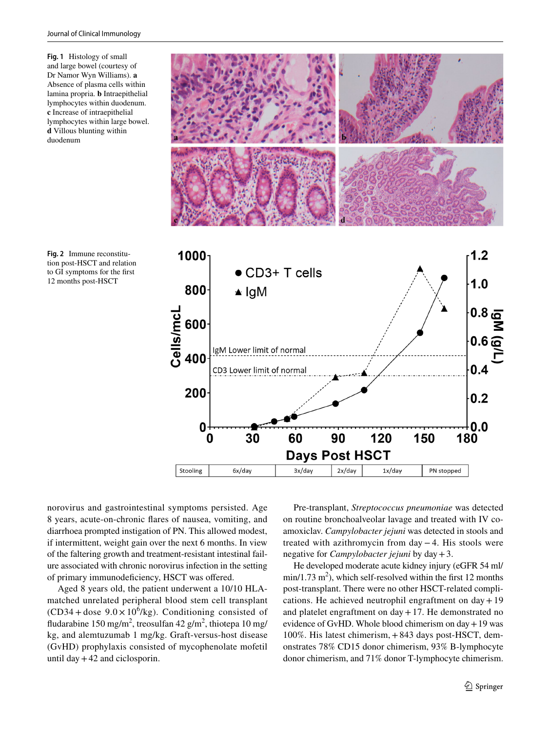<span id="page-2-0"></span>**Fig. 1** Histology of small and large bowel (courtesy of Dr Namor Wyn Williams). **a** Absence of plasma cells within lamina propria. **b** Intraepithelial lymphocytes within duodenum. **c** Increase of intraepithelial lymphocytes within large bowel. **d** Villous blunting within duodenum



<span id="page-2-1"></span>**Fig. 2** Immune reconstitution post-HSCT and relation to GI symptoms for the frst 12 months post-HSCT

norovirus and gastrointestinal symptoms persisted. Age 8 years, acute-on-chronic fares of nausea, vomiting, and diarrhoea prompted instigation of PN. This allowed modest, if intermittent, weight gain over the next 6 months. In view of the faltering growth and treatment-resistant intestinal failure associated with chronic norovirus infection in the setting of primary immunodefciency, HSCT was ofered.

Aged 8 years old, the patient underwent a 10/10 HLAmatched unrelated peripheral blood stem cell transplant  $(CD34 + dose 9.0 \times 10^6/kg)$ . Conditioning consisted of fludarabine 150 mg/m<sup>2</sup>, treosulfan 42 g/m<sup>2</sup>, thiotepa 10 mg/ kg, and alemtuzumab 1 mg/kg. Graft-versus-host disease (GvHD) prophylaxis consisted of mycophenolate mofetil until day  $+42$  and ciclosporin.

Pre-transplant, *Streptococcus pneumoniae* was detected on routine bronchoalveolar lavage and treated with IV coamoxiclav. *Campylobacter jejuni* was detected in stools and treated with azithromycin from day −4. His stools were negative for *Campylobacter jejuni* by day+3.

He developed moderate acute kidney injury (eGFR 54 ml/  $min/1.73$  m<sup>2</sup>), which self-resolved within the first 12 months post-transplant. There were no other HSCT-related complications. He achieved neutrophil engraftment on  $day + 19$ and platelet engraftment on  $day + 17$ . He demonstrated no evidence of GvHD. Whole blood chimerism on  $day + 19$  was 100%. His latest chimerism,+843 days post-HSCT, demonstrates 78% CD15 donor chimerism, 93% B-lymphocyte donor chimerism, and 71% donor T-lymphocyte chimerism.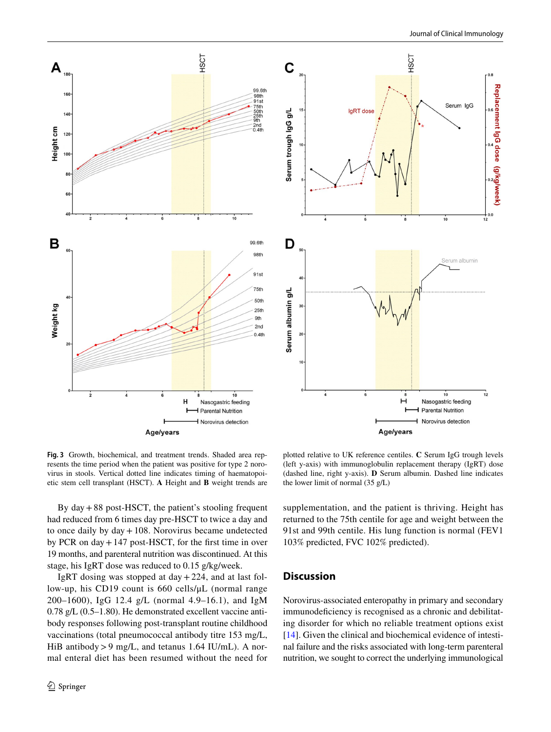



<span id="page-3-0"></span>**Fig. 3** Growth, biochemical, and treatment trends. Shaded area represents the time period when the patient was positive for type 2 norovirus in stools. Vertical dotted line indicates timing of haematopoietic stem cell transplant (HSCT). **A** Height and **B** weight trends are

plotted relative to UK reference centiles. **C** Serum IgG trough levels (left y-axis) with immunoglobulin replacement therapy (IgRT) dose (dashed line, right y-axis). **D** Serum albumin. Dashed line indicates the lower limit of normal (35 g/L)

By day+88 post-HSCT, the patient's stooling frequent had reduced from 6 times day pre-HSCT to twice a day and to once daily by day+108. Norovirus became undetected by PCR on day+147 post-HSCT, for the frst time in over 19 months, and parenteral nutrition was discontinued. At this stage, his IgRT dose was reduced to 0.15 g/kg/week.

IgRT dosing was stopped at day  $+224$ , and at last follow-up, his CD19 count is 660 cells/μL (normal range 200–1600), IgG 12.4 g/L (normal 4.9–16.1), and IgM 0.78 g/L (0.5–1.80). He demonstrated excellent vaccine antibody responses following post-transplant routine childhood vaccinations (total pneumococcal antibody titre 153 mg/L, HiB antibody>9 mg/L, and tetanus 1.64 IU/mL). A normal enteral diet has been resumed without the need for supplementation, and the patient is thriving. Height has returned to the 75th centile for age and weight between the 91st and 99th centile. His lung function is normal (FEV1 103% predicted, FVC 102% predicted).

## **Discussion**

Norovirus-associated enteropathy in primary and secondary immunodeficiency is recognised as a chronic and debilitating disorder for which no reliable treatment options exist [\[14](#page-6-13)]. Given the clinical and biochemical evidence of intestinal failure and the risks associated with long-term parenteral nutrition, we sought to correct the underlying immunological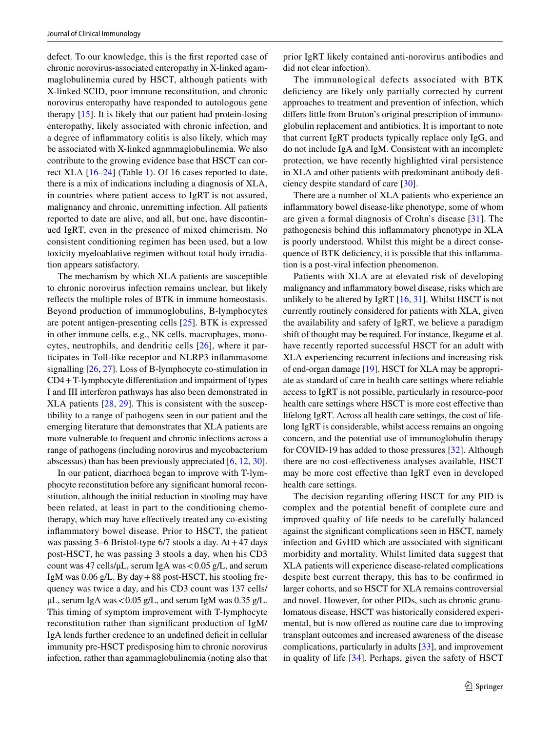defect. To our knowledge, this is the frst reported case of chronic norovirus-associated enteropathy in X-linked agammaglobulinemia cured by HSCT, although patients with X-linked SCID, poor immune reconstitution, and chronic norovirus enteropathy have responded to autologous gene therapy [[15\]](#page-6-14). It is likely that our patient had protein-losing enteropathy, likely associated with chronic infection, and a degree of infammatory colitis is also likely, which may be associated with X-linked agammaglobulinemia. We also contribute to the growing evidence base that HSCT can correct XLA [\[16](#page-6-15)[–24\]](#page-7-0) (Table [1](#page-5-0)). Of 16 cases reported to date, there is a mix of indications including a diagnosis of XLA, in countries where patient access to IgRT is not assured, malignancy and chronic, unremitting infection. All patients reported to date are alive, and all, but one, have discontinued IgRT, even in the presence of mixed chimerism. No consistent conditioning regimen has been used, but a low toxicity myeloablative regimen without total body irradiation appears satisfactory.

The mechanism by which XLA patients are susceptible to chronic norovirus infection remains unclear, but likely refects the multiple roles of BTK in immune homeostasis. Beyond production of immunoglobulins, B-lymphocytes are potent antigen-presenting cells [[25\]](#page-7-1). BTK is expressed in other immune cells, e.g., NK cells, macrophages, monocytes, neutrophils, and dendritic cells [[26\]](#page-7-2), where it participates in Toll-like receptor and NLRP3 infammasome signalling [\[26](#page-7-2), [27](#page-7-3)]. Loss of B-lymphocyte co-stimulation in CD4+T-lymphocyte diferentiation and impairment of types I and III interferon pathways has also been demonstrated in XLA patients [[28](#page-7-4), [29\]](#page-7-5). This is consistent with the susceptibility to a range of pathogens seen in our patient and the emerging literature that demonstrates that XLA patients are more vulnerable to frequent and chronic infections across a range of pathogens (including norovirus and mycobacterium abscessus) than has been previously appreciated [[6,](#page-6-5) [12](#page-6-11), [30](#page-7-6)].

In our patient, diarrhoea began to improve with T-lymphocyte reconstitution before any signifcant humoral reconstitution, although the initial reduction in stooling may have been related, at least in part to the conditioning chemotherapy, which may have efectively treated any co-existing infammatory bowel disease. Prior to HSCT, the patient was passing  $5-6$  Bristol-type  $6/7$  stools a day. At  $+47$  days post-HSCT, he was passing 3 stools a day, when his CD3 count was 47 cells/ $\mu$ L, serum IgA was <0.05 g/L, and serum IgM was  $0.06$  g/L. By day  $+88$  post-HSCT, his stooling frequency was twice a day, and his CD3 count was 137 cells/  $\mu$ L, serum IgA was < 0.05 g/L, and serum IgM was 0.35 g/L. This timing of symptom improvement with T-lymphocyte reconstitution rather than signifcant production of IgM/ IgA lends further credence to an undefned defcit in cellular immunity pre-HSCT predisposing him to chronic norovirus infection, rather than agammaglobulinemia (noting also that prior IgRT likely contained anti-norovirus antibodies and did not clear infection).

The immunological defects associated with BTK deficiency are likely only partially corrected by current approaches to treatment and prevention of infection, which difers little from Bruton's original prescription of immunoglobulin replacement and antibiotics. It is important to note that current IgRT products typically replace only IgG, and do not include IgA and IgM. Consistent with an incomplete protection, we have recently highlighted viral persistence in XLA and other patients with predominant antibody deficiency despite standard of care [\[30](#page-7-6)].

There are a number of XLA patients who experience an infammatory bowel disease-like phenotype, some of whom are given a formal diagnosis of Crohn's disease [\[31](#page-7-7)]. The pathogenesis behind this infammatory phenotype in XLA is poorly understood. Whilst this might be a direct consequence of BTK deficiency, it is possible that this inflammation is a post-viral infection phenomenon.

Patients with XLA are at elevated risk of developing malignancy and infammatory bowel disease, risks which are unlikely to be altered by IgRT  $[16, 31]$  $[16, 31]$  $[16, 31]$ . Whilst HSCT is not currently routinely considered for patients with XLA, given the availability and safety of IgRT, we believe a paradigm shift of thought may be required. For instance, Ikegame et al. have recently reported successful HSCT for an adult with XLA experiencing recurrent infections and increasing risk of end-organ damage [[19\]](#page-6-16). HSCT for XLA may be appropriate as standard of care in health care settings where reliable access to IgRT is not possible, particularly in resource-poor health care settings where HSCT is more cost effective than lifelong IgRT. Across all health care settings, the cost of lifelong IgRT is considerable, whilst access remains an ongoing concern, and the potential use of immunoglobulin therapy for COVID-19 has added to those pressures [[32\]](#page-7-8). Although there are no cost-efectiveness analyses available, HSCT may be more cost efective than IgRT even in developed health care settings.

The decision regarding offering HSCT for any PID is complex and the potential beneft of complete cure and improved quality of life needs to be carefully balanced against the signifcant complications seen in HSCT, namely infection and GvHD which are associated with signifcant morbidity and mortality. Whilst limited data suggest that XLA patients will experience disease-related complications despite best current therapy, this has to be confrmed in larger cohorts, and so HSCT for XLA remains controversial and novel. However, for other PIDs, such as chronic granulomatous disease, HSCT was historically considered experimental, but is now offered as routine care due to improving transplant outcomes and increased awareness of the disease complications, particularly in adults [[33](#page-7-9)], and improvement in quality of life [\[34\]](#page-7-10). Perhaps, given the safety of HSCT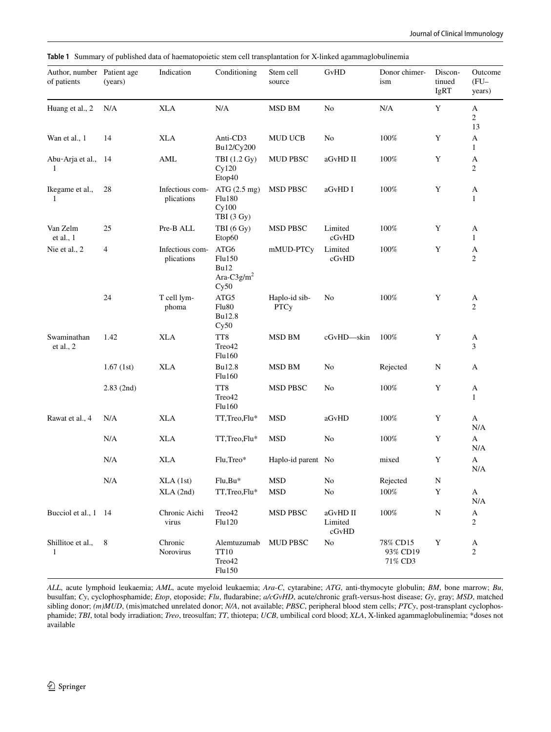Author, number Patient age of patients (years) Indication Conditioning Stem cell source GvHD Donor chimerism Discontinued IgRT Outcome (FU– years) Huang et al., 2 N/A XLA N/A MSD BM No N/A Y A 2 13 Wan et al., 1 14 XLA Anti-CD3 Bu12/Cy200 MUD UCB No 100% Y A 1 Abu-Arja et al., 14 1 AML TBI (1.2 Gy) Cy120 Etop40 MUD PBSC aGvHD II 100% Y A 2 Ikegame et al., 1 28 Infectious complications ATG (2.5 mg) Flu180 Cy100 TBI (3 Gy) MSD PBSC aGvHD I 100% Y A 1 Van Zelm et al., 1 25 Pre-B ALL TBI (6 Gy) Etop60 MSD PBSC Limited cGvHD 100% Y A 1 Nie et al., 2 4 Infectious complications ATG6 Flu150 Bu12 Ara-C $3g/m^2$  $Cy50$ mMUD-PTCy Limited cGvHD 100% Y A 2 24 T cell lymphoma ATG5 Flu80 Bu12.8  $Cy50$ Haplo-id sib-**PTCy** No  $100\%$  Y A 2 Swaminathan et al., 2 1.42 XLA TT8 Treo42 Flu160 MSD BM cGvHD—skin 100% Y A 3 1.67 (1st) XLA Bu12.8 Flu160 MSD BM No Rejected N A 2.83 (2nd) TT8 Treo42 Flu160 MSD PBSC No 100% Y A 1 Rawat et al., 4 N/A XLA TT,Treo,Flu\* MSD aGvHD 100% Y A N/A N/A XLA TT,Treo,Flu\* MSD No 100% Y A N/A N/A XLA Flu,Treo\* Haplo-id parent No mixed Y A N/A N/A XLA (1st) Flu,Bu\* MSD No Rejected N XLA (2nd) TT,Treo,Flu\* MSD No 100% Y A N/A Bucciol et al., 1 14 Chronic Aichi virus Treo42 Flu120 MSD PBSC aGvHD II Limited cGvHD 100% N A 2 Shillitoe et al., 1 8 Chronic Norovirus Alemtuzumab TT10 Treo42 Flu150 MUD PBSC No 78% CD15 93% CD19 71% CD3 Y A 2

<span id="page-5-0"></span>**Table 1** Summary of published data of haematopoietic stem cell transplantation for X-linked agammaglobulinemia

*ALL*, acute lymphoid leukaemia; *AML*, acute myeloid leukaemia; *Ara-C*, cytarabine; *ATG*, anti-thymocyte globulin; *BM*, bone marrow; *Bu*, busulfan; *Cy*, cyclophosphamide; *Etop*, etoposide; *Flu*, fudarabine; *a/cGvHD*, acute/chronic graft-versus-host disease; *Gy*, gray; *MSD*, matched sibling donor; *(m)MUD*, (mis)matched unrelated donor; *N/A*, not available; *PBSC*, peripheral blood stem cells; *PTCy*, post-transplant cyclophosphamide; *TBI*, total body irradiation; *Treo*, treosulfan; *TT*, thiotepa; *UCB*, umbilical cord blood; *XLA*, X-linked agammaglobulinemia; \*doses not available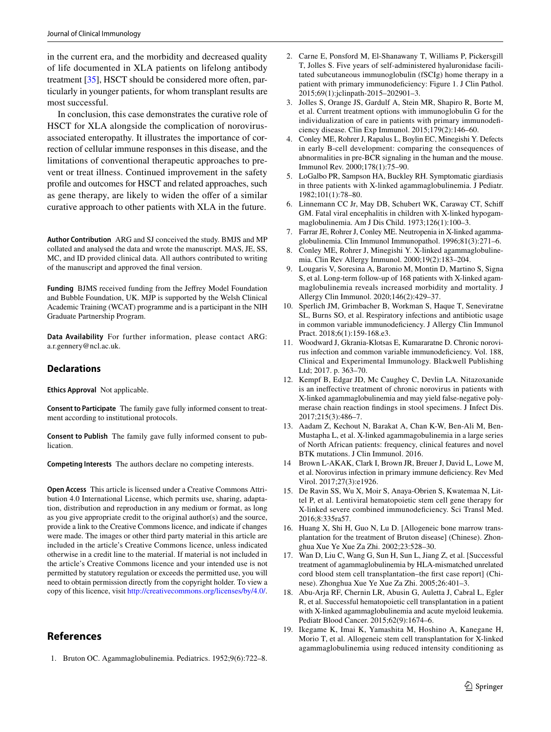in the current era, and the morbidity and decreased quality of life documented in XLA patients on lifelong antibody treatment [\[35](#page-7-11)], HSCT should be considered more often, particularly in younger patients, for whom transplant results are most successful.

In conclusion, this case demonstrates the curative role of HSCT for XLA alongside the complication of norovirusassociated enteropathy. It illustrates the importance of correction of cellular immune responses in this disease, and the limitations of conventional therapeutic approaches to prevent or treat illness. Continued improvement in the safety profle and outcomes for HSCT and related approaches, such as gene therapy, are likely to widen the offer of a similar curative approach to other patients with XLA in the future.

**Author Contribution** ARG and SJ conceived the study. BMJS and MP collated and analysed the data and wrote the manuscript. MAS, JE, SS, MC, and ID provided clinical data. All authors contributed to writing of the manuscript and approved the fnal version.

**Funding** BJMS received funding from the Jefrey Model Foundation and Bubble Foundation, UK. MJP is supported by the Welsh Clinical Academic Training (WCAT) programme and is a participant in the NIH Graduate Partnership Program.

**Data Availability** For further information, please contact ARG: a.r.gennery@ncl.ac.uk.

### **Declarations**

**Ethics Approval** Not applicable.

**Consent to Participate** The family gave fully informed consent to treatment according to institutional protocols.

**Consent to Publish** The family gave fully informed consent to publication.

**Competing Interests** The authors declare no competing interests.

**Open Access** This article is licensed under a Creative Commons Attribution 4.0 International License, which permits use, sharing, adaptation, distribution and reproduction in any medium or format, as long as you give appropriate credit to the original author(s) and the source, provide a link to the Creative Commons licence, and indicate if changes were made. The images or other third party material in this article are included in the article's Creative Commons licence, unless indicated otherwise in a credit line to the material. If material is not included in the article's Creative Commons licence and your intended use is not permitted by statutory regulation or exceeds the permitted use, you will need to obtain permission directly from the copyright holder. To view a copy of this licence, visit <http://creativecommons.org/licenses/by/4.0/>.

## **References**

<span id="page-6-0"></span>1. Bruton OC. Agammaglobulinemia. Pediatrics. 1952;9(6):722–8.

- <span id="page-6-1"></span>2. Carne E, Ponsford M, El-Shanawany T, Williams P, Pickersgill T, Jolles S. Five years of self-administered hyaluronidase facilitated subcutaneous immunoglobulin (fSCIg) home therapy in a patient with primary immunodeficiency: Figure 1. J Clin Pathol. 2015;69(1):jclinpath-2015–202901–3.
- <span id="page-6-2"></span>3. Jolles S, Orange JS, Gardulf A, Stein MR, Shapiro R, Borte M, et al. Current treatment options with immunoglobulin G for the individualization of care in patients with primary immunodeficiency disease. Clin Exp Immunol. 2015;179(2):146–60.
- <span id="page-6-3"></span>4. Conley ME, Rohrer J, Rapalus L, Boylin EC, Minegishi Y. Defects in early B-cell development: comparing the consequences of abnormalities in pre-BCR signaling in the human and the mouse. Immunol Rev. 2000;178(1):75–90.
- <span id="page-6-4"></span>5. LoGalbo PR, Sampson HA, Buckley RH. Symptomatic giardiasis in three patients with X-linked agammaglobulinemia. J Pediatr. 1982;101(1):78–80.
- <span id="page-6-5"></span>6. Linnemann CC Jr, May DB, Schubert WK, Caraway CT, Schif GM. Fatal viral encephalitis in children with X-linked hypogammaglobulinemia. Am J Dis Child. 1973;126(1):100–3.
- <span id="page-6-6"></span>7. Farrar JE, Rohrer J, Conley ME. Neutropenia in X-linked agammaglobulinemia. Clin Immunol Immunopathol. 1996;81(3):271–6.
- <span id="page-6-7"></span>8. Conley ME, Rohrer J, Minegishi Y. X-linked agammaglobulinemia. Clin Rev Allergy Immunol. 2000;19(2):183–204.
- <span id="page-6-8"></span>9. Lougaris V, Soresina A, Baronio M, Montin D, Martino S, Signa S, et al. Long-term follow-up of 168 patients with X-linked agammaglobulinemia reveals increased morbidity and mortality. J Allergy Clin Immunol. 2020;146(2):429–37.
- <span id="page-6-9"></span>10. Sperlich JM, Grimbacher B, Workman S, Haque T, Seneviratne SL, Burns SO, et al. Respiratory infections and antibiotic usage in common variable immunodeficiency. J Allergy Clin Immunol Pract. 2018;6(1):159-168.e3.
- <span id="page-6-10"></span>11. Woodward J, Gkrania-Klotsas E, Kumararatne D. Chronic norovirus infection and common variable immunodeficiency. Vol. 188, Clinical and Experimental Immunology. Blackwell Publishing Ltd; 2017. p. 363–70.
- <span id="page-6-11"></span>12. Kempf B, Edgar JD, Mc Caughey C, Devlin LA. Nitazoxanide is an inefective treatment of chronic norovirus in patients with X-linked agammaglobulinemia and may yield false-negative polymerase chain reaction fndings in stool specimens. J Infect Dis. 2017;215(3):486–7.
- <span id="page-6-12"></span>13. Aadam Z, Kechout N, Barakat A, Chan K-W, Ben-Ali M, Ben-Mustapha L, et al. X-linked agammagobulinemia in a large series of North African patients: frequency, clinical features and novel BTK mutations. J Clin Immunol. 2016.
- <span id="page-6-13"></span>Brown L-AKAK, Clark I, Brown JR, Breuer J, David L, Lowe M, et al. Norovirus infection in primary immune defciency. Rev Med Virol. 2017;27(3):e1926.
- <span id="page-6-14"></span>15. De Ravin SS, Wu X, Moir S, Anaya-Obrien S, Kwatemaa N, Littel P, et al. Lentiviral hematopoietic stem cell gene therapy for X-linked severe combined immunodefciency. Sci Transl Med. 2016;8:335ra57.
- <span id="page-6-15"></span>16. Huang X, Shi H, Guo N, Lu D. [Allogeneic bone marrow transplantation for the treatment of Bruton disease] (Chinese). Zhonghua Xue Ye Xue Za Zhi. 2002;23:528–30.
- 17. Wan D, Liu C, Wang G, Sun H, Sun L, Jiang Z, et al. [Successful treatment of agammaglobulinemia by HLA-mismatched unrelated cord blood stem cell transplantation–the frst case report] (Chinese). Zhonghua Xue Ye Xue Za Zhi. 2005;26:401–3.
- 18. Abu-Arja RF, Chernin LR, Abusin G, Auletta J, Cabral L, Egler R, et al. Successful hematopoietic cell transplantation in a patient with X-linked agammaglobulinemia and acute myeloid leukemia. Pediatr Blood Cancer. 2015;62(9):1674–6.
- <span id="page-6-16"></span>19. Ikegame K, Imai K, Yamashita M, Hoshino A, Kanegane H, Morio T, et al. Allogeneic stem cell transplantation for X-linked agammaglobulinemia using reduced intensity conditioning as